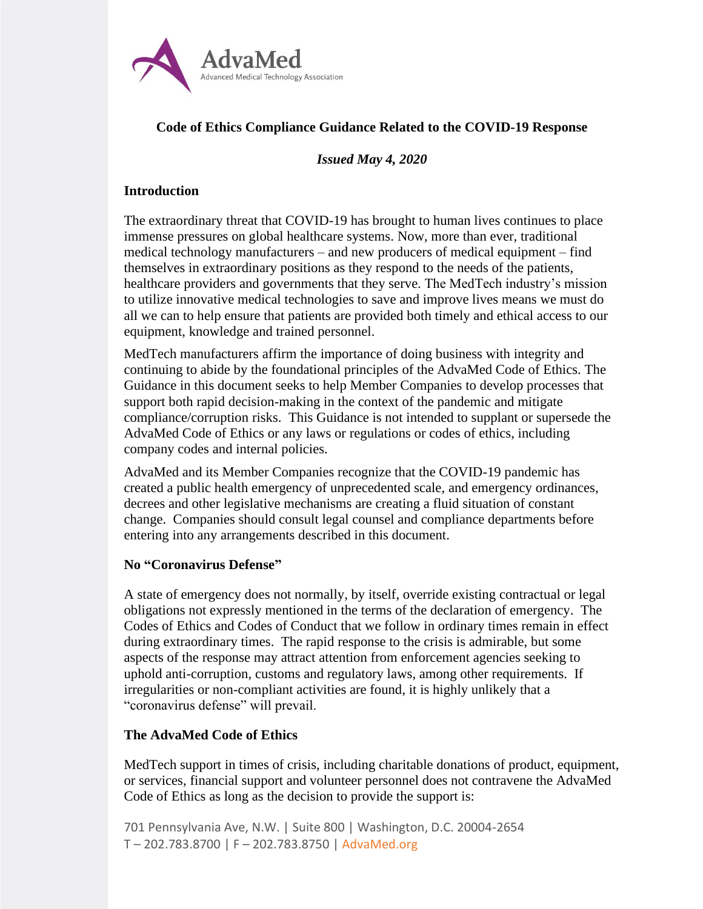

# **Code of Ethics Compliance Guidance Related to the COVID-19 Response**

### *Issued May 4, 2020*

### **Introduction**

The extraordinary threat that COVID-19 has brought to human lives continues to place immense pressures on global healthcare systems. Now, more than ever, traditional medical technology manufacturers – and new producers of medical equipment – find themselves in extraordinary positions as they respond to the needs of the patients, healthcare providers and governments that they serve. The MedTech industry's mission to utilize innovative medical technologies to save and improve lives means we must do all we can to help ensure that patients are provided both timely and ethical access to our equipment, knowledge and trained personnel.

MedTech manufacturers affirm the importance of doing business with integrity and continuing to abide by the foundational principles of the AdvaMed Code of Ethics. The Guidance in this document seeks to help Member Companies to develop processes that support both rapid decision-making in the context of the pandemic and mitigate compliance/corruption risks. This Guidance is not intended to supplant or supersede the AdvaMed Code of Ethics or any laws or regulations or codes of ethics, including company codes and internal policies.

AdvaMed and its Member Companies recognize that the COVID-19 pandemic has created a public health emergency of unprecedented scale, and emergency ordinances, decrees and other legislative mechanisms are creating a fluid situation of constant change. Companies should consult legal counsel and compliance departments before entering into any arrangements described in this document.

### **No "Coronavirus Defense"**

A state of emergency does not normally, by itself, override existing contractual or legal obligations not expressly mentioned in the terms of the declaration of emergency. The Codes of Ethics and Codes of Conduct that we follow in ordinary times remain in effect during extraordinary times. The rapid response to the crisis is admirable, but some aspects of the response may attract attention from enforcement agencies seeking to uphold anti-corruption, customs and regulatory laws, among other requirements. If irregularities or non-compliant activities are found, it is highly unlikely that a "coronavirus defense" will prevail.

## **The AdvaMed Code of Ethics**

MedTech support in times of crisis, including charitable donations of product, equipment, or services, financial support and volunteer personnel does not contravene the AdvaMed Code of Ethics as long as the decision to provide the support is:

701 Pennsylvania Ave, N.W. | Suite 800 | Washington, D.C. 20004-2654 T – 202.783.8700 | F – 202.783.8750 | AdvaMed.org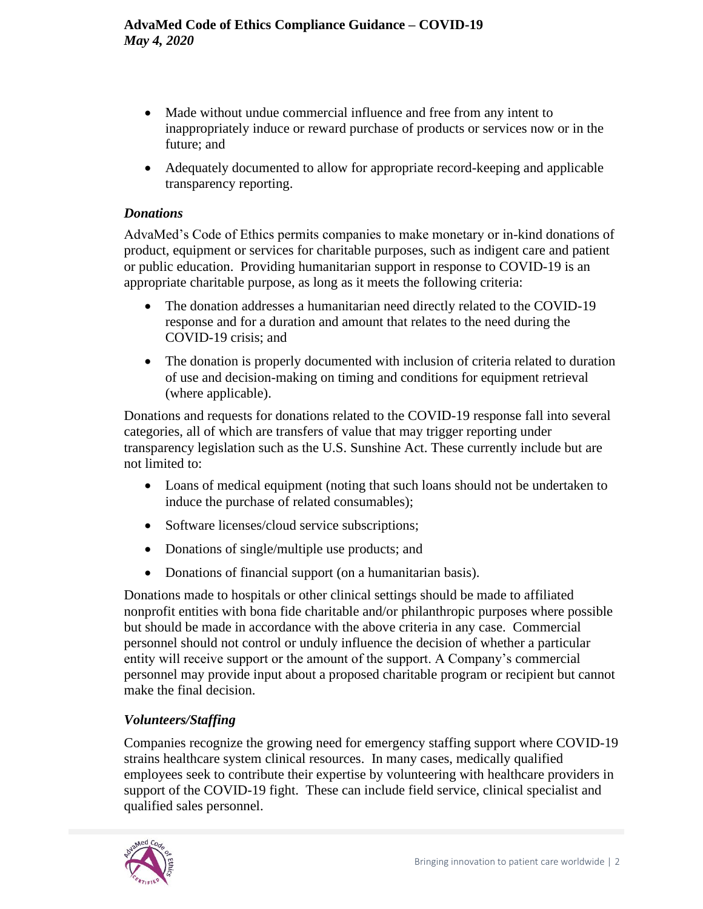- Made without undue commercial influence and free from any intent to inappropriately induce or reward purchase of products or services now or in the future; and
- Adequately documented to allow for appropriate record-keeping and applicable transparency reporting.

## *Donations*

AdvaMed's Code of Ethics permits companies to make monetary or in-kind donations of product, equipment or services for charitable purposes, such as indigent care and patient or public education. Providing humanitarian support in response to COVID-19 is an appropriate charitable purpose, as long as it meets the following criteria:

- The donation addresses a humanitarian need directly related to the COVID-19 response and for a duration and amount that relates to the need during the COVID-19 crisis; and
- The donation is properly documented with inclusion of criteria related to duration of use and decision-making on timing and conditions for equipment retrieval (where applicable).

Donations and requests for donations related to the COVID-19 response fall into several categories, all of which are transfers of value that may trigger reporting under transparency legislation such as the U.S. Sunshine Act. These currently include but are not limited to:

- Loans of medical equipment (noting that such loans should not be undertaken to induce the purchase of related consumables);
- Software licenses/cloud service subscriptions;
- Donations of single/multiple use products; and
- Donations of financial support (on a humanitarian basis).

Donations made to hospitals or other clinical settings should be made to affiliated nonprofit entities with bona fide charitable and/or philanthropic purposes where possible but should be made in accordance with the above criteria in any case. Commercial personnel should not control or unduly influence the decision of whether a particular entity will receive support or the amount of the support. A Company's commercial personnel may provide input about a proposed charitable program or recipient but cannot make the final decision.

# *Volunteers/Staffing*

Companies recognize the growing need for emergency staffing support where COVID-19 strains healthcare system clinical resources. In many cases, medically qualified employees seek to contribute their expertise by volunteering with healthcare providers in support of the COVID-19 fight. These can include field service, clinical specialist and qualified sales personnel.

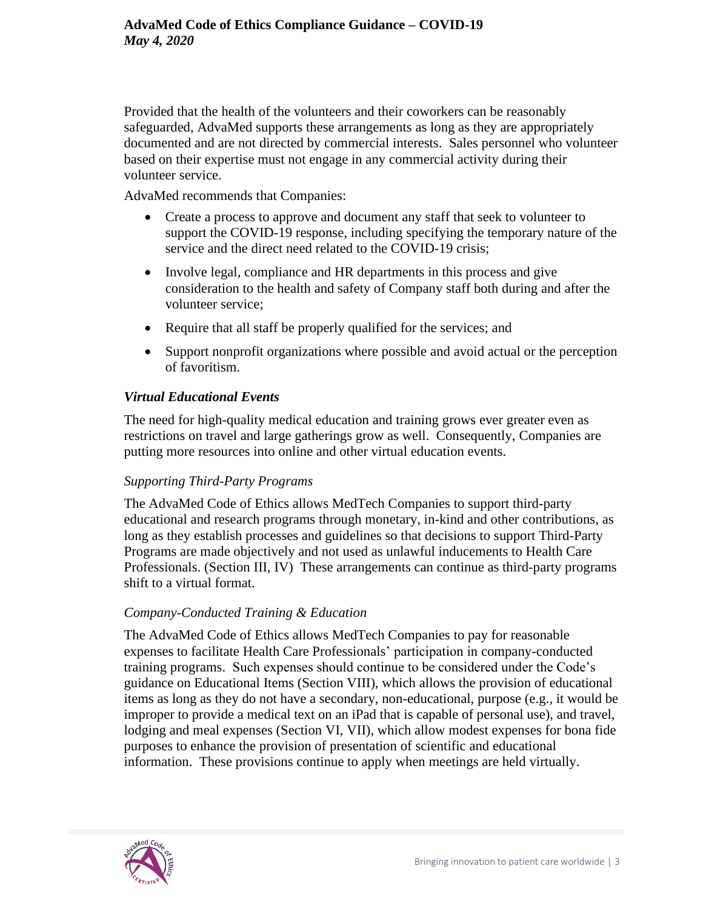Provided that the health of the volunteers and their coworkers can be reasonably safeguarded, AdvaMed supports these arrangements as long as they are appropriately documented and are not directed by commercial interests. Sales personnel who volunteer based on their expertise must not engage in any commercial activity during their volunteer service.

AdvaMed recommends that Companies:

- Create a process to approve and document any staff that seek to volunteer to support the COVID-19 response, including specifying the temporary nature of the service and the direct need related to the COVID-19 crisis;
- Involve legal, compliance and HR departments in this process and give consideration to the health and safety of Company staff both during and after the volunteer service;
- Require that all staff be properly qualified for the services; and
- Support nonprofit organizations where possible and avoid actual or the perception of favoritism.

### *Virtual Educational Events*

The need for high-quality medical education and training grows ever greater even as restrictions on travel and large gatherings grow as well. Consequently, Companies are putting more resources into online and other virtual education events.

### *Supporting Third-Party Programs*

The AdvaMed Code of Ethics allows MedTech Companies to support third-party educational and research programs through monetary, in-kind and other contributions, as long as they establish processes and guidelines so that decisions to support Third-Party Programs are made objectively and not used as unlawful inducements to Health Care Professionals. (Section III, IV) These arrangements can continue as third-party programs shift to a virtual format.

### *Company-Conducted Training & Education*

The AdvaMed Code of Ethics allows MedTech Companies to pay for reasonable expenses to facilitate Health Care Professionals' participation in company-conducted training programs. Such expenses should continue to be considered under the Code's guidance on Educational Items (Section VIII), which allows the provision of educational items as long as they do not have a secondary, non-educational, purpose (e.g., it would be improper to provide a medical text on an iPad that is capable of personal use), and travel, lodging and meal expenses (Section VI, VII), which allow modest expenses for bona fide purposes to enhance the provision of presentation of scientific and educational information. These provisions continue to apply when meetings are held virtually.